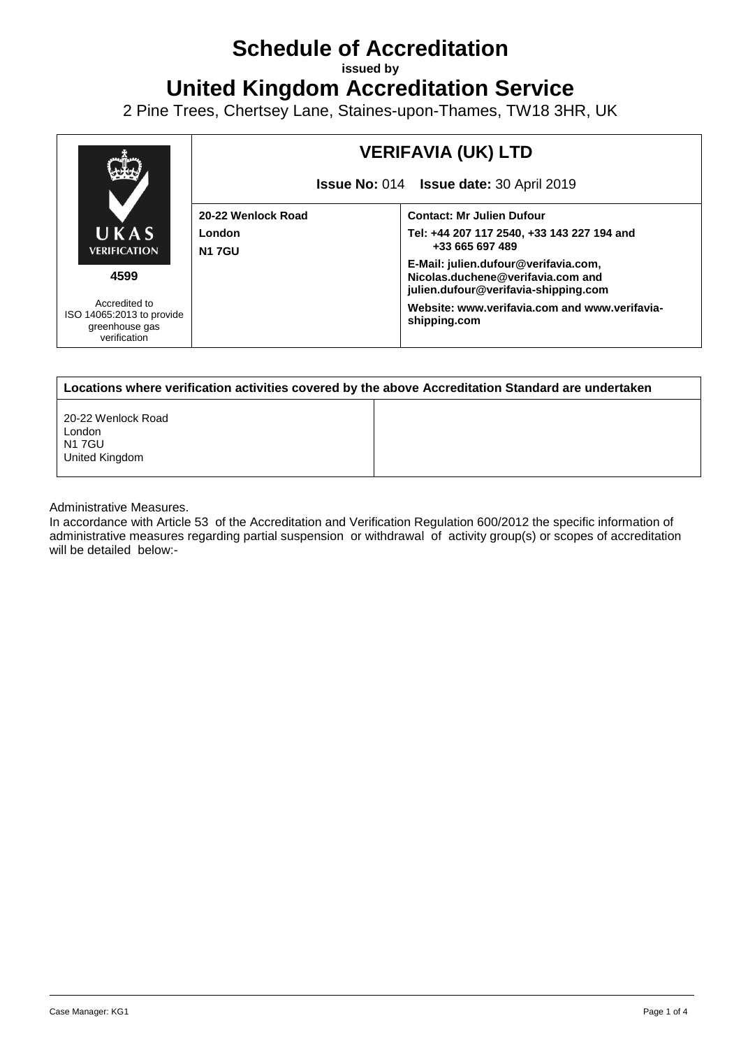# **Schedule of Accreditation**

**issued by**

**United Kingdom Accreditation Service**

2 Pine Trees, Chertsey Lane, Staines-upon-Thames, TW18 3HR, UK



| Locations where verification activities covered by the above Accreditation Standard are undertaken |  |  |
|----------------------------------------------------------------------------------------------------|--|--|
| 20-22 Wenlock Road<br>London<br>N1 7GU<br>United Kingdom                                           |  |  |

Administrative Measures.

In accordance with Article 53 of the Accreditation and Verification Regulation 600/2012 the specific information of administrative measures regarding partial suspension or withdrawal of activity group(s) or scopes of accreditation will be detailed below:-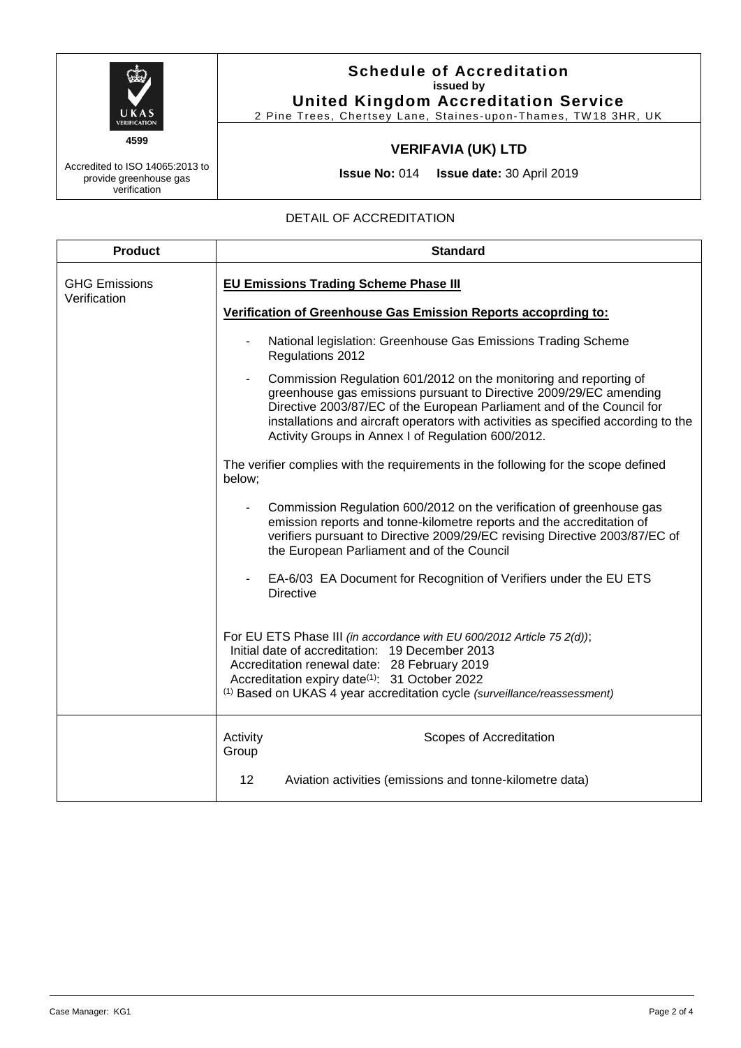

Accredited to ISO 14065:2013 to provide greenhouse gas verification

## **Schedule of Accreditation issued by United Kingdom Accreditation Service**

2 Pine Trees, Chertsey Lane, Staines-upon-Thames, TW18 3HR, UK

# **VERIFAVIA (UK) LTD**

**Issue No:** 014 **Issue date:** 30 April 2019

#### DETAIL OF ACCREDITATION

| <b>Product</b>                       | <b>Standard</b>                                                                                                                                                                                                                                                                                                                                               |  |  |
|--------------------------------------|---------------------------------------------------------------------------------------------------------------------------------------------------------------------------------------------------------------------------------------------------------------------------------------------------------------------------------------------------------------|--|--|
| <b>GHG Emissions</b><br>Verification | <b>EU Emissions Trading Scheme Phase III</b>                                                                                                                                                                                                                                                                                                                  |  |  |
|                                      | Verification of Greenhouse Gas Emission Reports accoprding to:                                                                                                                                                                                                                                                                                                |  |  |
|                                      | National legislation: Greenhouse Gas Emissions Trading Scheme<br>Regulations 2012                                                                                                                                                                                                                                                                             |  |  |
|                                      | Commission Regulation 601/2012 on the monitoring and reporting of<br>greenhouse gas emissions pursuant to Directive 2009/29/EC amending<br>Directive 2003/87/EC of the European Parliament and of the Council for<br>installations and aircraft operators with activities as specified according to the<br>Activity Groups in Annex I of Regulation 600/2012. |  |  |
|                                      | The verifier complies with the requirements in the following for the scope defined<br>below;                                                                                                                                                                                                                                                                  |  |  |
|                                      | Commission Regulation 600/2012 on the verification of greenhouse gas<br>emission reports and tonne-kilometre reports and the accreditation of<br>verifiers pursuant to Directive 2009/29/EC revising Directive 2003/87/EC of<br>the European Parliament and of the Council                                                                                    |  |  |
|                                      | EA-6/03 EA Document for Recognition of Verifiers under the EU ETS<br><b>Directive</b>                                                                                                                                                                                                                                                                         |  |  |
|                                      | For EU ETS Phase III (in accordance with EU 600/2012 Article 75 2(d));<br>Initial date of accreditation: 19 December 2013<br>Accreditation renewal date: 28 February 2019<br>Accreditation expiry date(1): 31 October 2022<br><sup>(1)</sup> Based on UKAS 4 year accreditation cycle (surveillance/reassessment)                                             |  |  |
|                                      | Activity<br>Scopes of Accreditation<br>Group                                                                                                                                                                                                                                                                                                                  |  |  |
|                                      | 12 <sub>2</sub><br>Aviation activities (emissions and tonne-kilometre data)                                                                                                                                                                                                                                                                                   |  |  |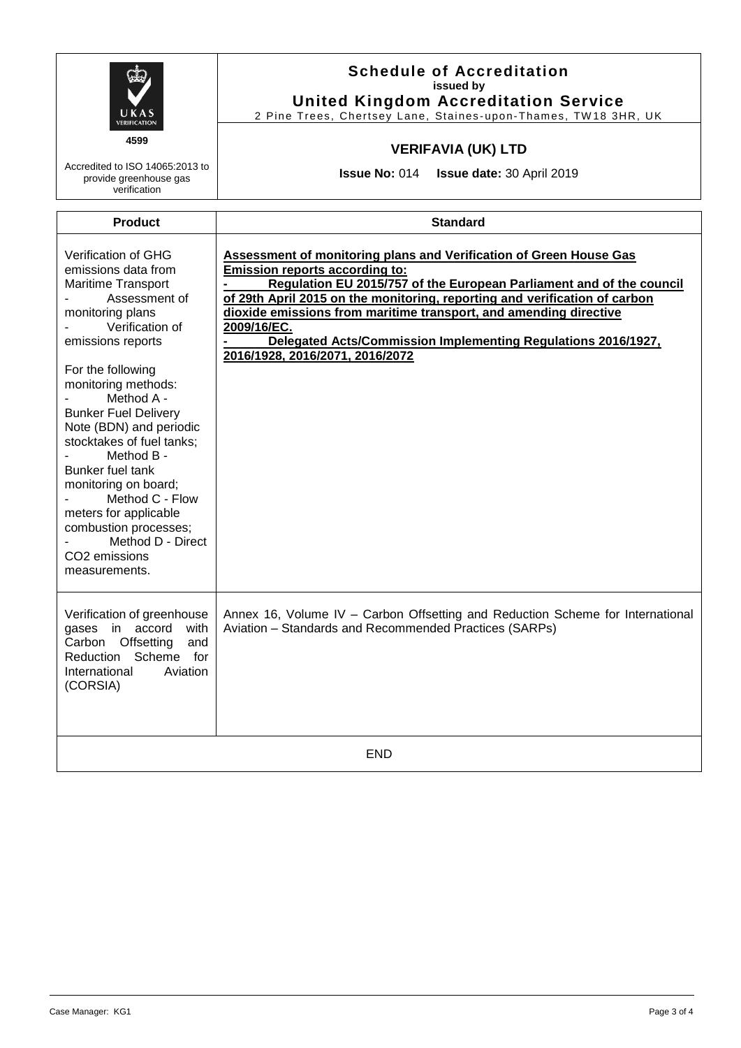| <b>VERIFICATION</b><br>4599<br>Accredited to ISO 14065:2013 to<br>provide greenhouse gas<br>verification                                                                                                                                                                                                                                                                                                                                                                                    | <b>Schedule of Accreditation</b><br>issued by<br><b>United Kingdom Accreditation Service</b><br>2 Pine Trees, Chertsey Lane, Staines-upon-Thames, TW18 3HR, UK<br><b>VERIFAVIA (UK) LTD</b><br><b>Issue No: 014</b><br><b>Issue date: 30 April 2019</b>                                                                                                                                                                                                          |  |  |
|---------------------------------------------------------------------------------------------------------------------------------------------------------------------------------------------------------------------------------------------------------------------------------------------------------------------------------------------------------------------------------------------------------------------------------------------------------------------------------------------|------------------------------------------------------------------------------------------------------------------------------------------------------------------------------------------------------------------------------------------------------------------------------------------------------------------------------------------------------------------------------------------------------------------------------------------------------------------|--|--|
| <b>Product</b>                                                                                                                                                                                                                                                                                                                                                                                                                                                                              | <b>Standard</b>                                                                                                                                                                                                                                                                                                                                                                                                                                                  |  |  |
| Verification of GHG<br>emissions data from<br><b>Maritime Transport</b><br>Assessment of<br>monitoring plans<br>Verification of<br>emissions reports<br>For the following<br>monitoring methods:<br>Method A -<br><b>Bunker Fuel Delivery</b><br>Note (BDN) and periodic<br>stocktakes of fuel tanks;<br>Method B -<br>Bunker fuel tank<br>monitoring on board;<br>Method C - Flow<br>meters for applicable<br>combustion processes;<br>Method D - Direct<br>CO2 emissions<br>measurements. | <b>Assessment of monitoring plans and Verification of Green House Gas</b><br><b>Emission reports according to:</b><br>Regulation EU 2015/757 of the European Parliament and of the council<br>of 29th April 2015 on the monitoring, reporting and verification of carbon<br>dioxide emissions from maritime transport, and amending directive<br>2009/16/EC.<br>Delegated Acts/Commission Implementing Regulations 2016/1927.<br>2016/1928, 2016/2071, 2016/2072 |  |  |
| Verification of greenhouse<br>gases in accord<br>with<br>Carbon Offsetting<br>and<br>Scheme for<br>Reduction<br>International<br>Aviation<br>(CORSIA)                                                                                                                                                                                                                                                                                                                                       | Annex 16, Volume IV - Carbon Offsetting and Reduction Scheme for International<br>Aviation - Standards and Recommended Practices (SARPs)                                                                                                                                                                                                                                                                                                                         |  |  |
| <b>END</b>                                                                                                                                                                                                                                                                                                                                                                                                                                                                                  |                                                                                                                                                                                                                                                                                                                                                                                                                                                                  |  |  |